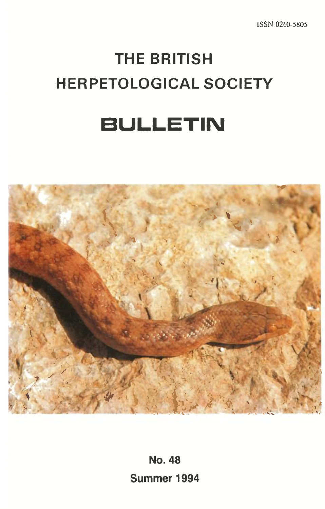# **THE BRITISH HERPETOLOGICAL SOCIETY**

## **BULLETIN**



**No. 48 Summer 1994**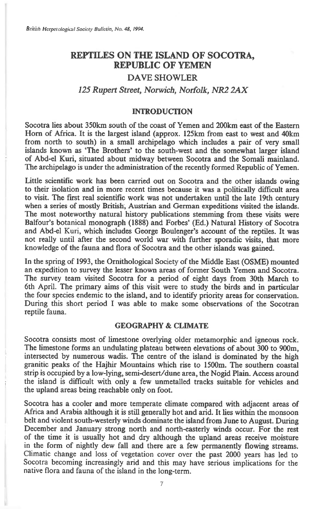### **REPTILES ON THE ISLAND OF SOCOTRA, REPUBLIC OF YEMEN**

#### **DAVE SHOWLER**

#### *125 Rupert Street, Norwich, Norfolk, NR2 2AX*

#### **INTRODUCTION**

**Socotra lies about 350km south of the coast of Yemen and 200km east of the Eastern Horn of Africa. It is the largest island (approx. 125km from east to west and 40km from north to south) in a small archipelago which includes a pair of very small islands known as 'The Brothers' to the south-west and the somewhat larger island of Abd-el Kuri, situated about midway between Socotra and the Somali mainland. The archipelago is under the administration of the recently formed Republic of Yemen.** 

**Little scientific work has been carried out on Socotra and the other islands owing to their isolation and in more recent times because it was a politically difficult area to visit. The first real scientific work was not undertaken until the late 19th century when a series of mostly British, Austrian and German expeditions visited the islands. The most noteworthy natural history publications stemming from these visits were Balfour's botanical monograph (1888) and Forbes' (Ed.) Natural History of Socotra and Abd-el** Kuri, **which includes George Boulenger's account of the reptiles. It was not really until after the second world war with further sporadic visits, that more knowledge of the fauna and flora of Socotra and the other islands was gained.** 

**In the spring of 1993, the Ornithological Society of the Middle East (OSME) mounted an expedition to survey the lesser known areas of former South Yemen and Socotra. The survey team visited Socotra for a period of eight days from 30th March to 6th April. The primary aims of this visit were to study the birds and in particular the four species endemic to the island, and to identify priority areas for conservation. During this short period I was able to make some observations of the Socotran reptile fauna.** 

#### **GEOGRAPHY & CLIMATE**

**Socotra consists most of limestone overlying older metamorphic and igneous rock. The limestone forms an undulating plateau between elevations of about 300 to 900m, intersected by numerous wadis. The centre of the island is dominated by the high granitic peaks of the Hajhir Mountains which rise to 1500m. The southern coastal strip is occupied by a low-lying, semi-desert/dune area, the Nogid Plain. Access around the island is difficult with only a few unmetalled tracks suitable for vehicles and the upland areas being reachable only on foot.** 

**Socotra has a cooler and more temperate climate compared with adjacent areas of Africa and Arabia although it is still generally hot and arid. It lies within the monsoon belt and violent south-westerly winds dominate the island from June to August. During December and January strong north and north-easterly winds occur. For the rest of the time it is usually hot and dry although the upland areas receive moisture in the form of nightly dew fall and there are a few permanently flowing streams. Climatic change and loss of vegetation cover over the past 2000 years has led to Socotra becoming increasingly arid and this may have serious implications for the native flora and fauna of the island in the long-term.**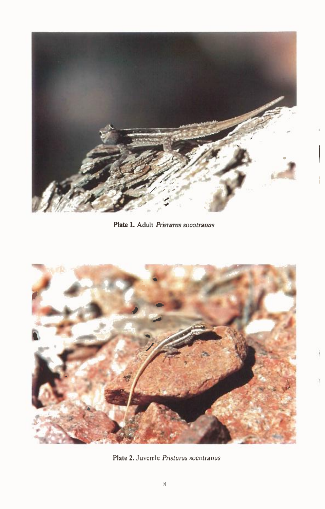

**Plate 1.** Adult *Pristurus socotranus* 



*Plate* 2. Juvenile *Pristurus socotranus*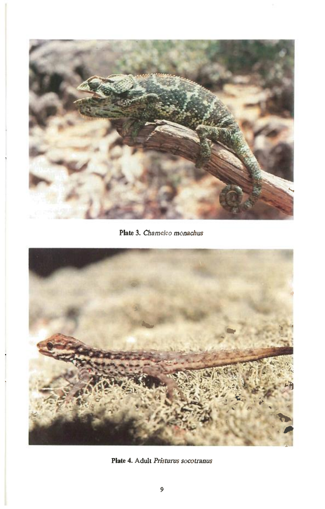

**Plate 3.** *Chameleo monachus* 



*Plate* **4. Adult** *Pristurus socotranus*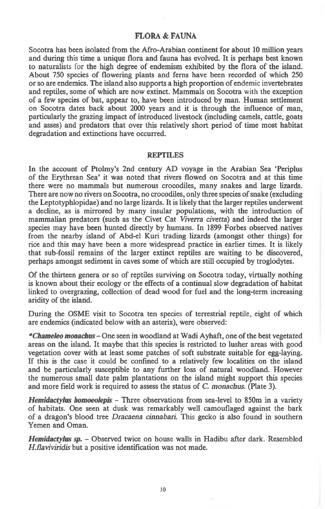#### **FLORA & FAUNA**

Socotra has been isolated from the Afro-Arabian continent for about 10 million years and during this time a unique flora and fauna has evolved. It is perhaps best known to naturalists for the high degree of endemism exhibited by the flora of the island. About 750 species of flowering plants and ferns have been recorded of which 250 or so are endemics. The island also supports a high proportion of endemic invertebrates and reptiles, some of which are now extinct. Mammals on Socotra with the exception of a few species of bat, appear to, have been introduced by man. Human settlement on Socotra dates back about 2000 years and it is through the influence of man, particularly the grazing impact of introduced livestock (including camels, cattle, goats and asses) and predators that over this relatively short period of time most habitat degradation and extinctions have occurred.

#### **REPTILES**

In the account of Ptolmy's 2nd century AD voyage in the Arabian Sea 'Periplus of the Erythrean Sea' it was noted that rivers flowed on Socotra and at this time there were no mammals but numerous crocodiles, many snakes and large lizards. There are now no rivers on Socotra, no crocodiles, only three species of snake (excluding the Leptotyphlopidae) and no large lizards. It is likely that the larger reptiles underwent a decline, as is mirrored by many insular populations, with the introduction of mammalian predators (such as the Civet Cat *Viverra civetta)* and indeed the larger species may have been hunted directly by humans. In 1899 Forbes observed natives from the nearby island of Abd-el Kuri trading lizards (amongst other things) for rice and this may have been a more widespread practice in earlier times. It is likely that sub-fossil remains of the larger extinct reptiles are waiting to be discovered, perhaps amongst sediment in caves some of which are still occupied by troglodytes.

Of the thirteen genera or so of reptiles surviving on Socotra today, virtually nothing is known about their ecology or the effects of a continual slow degradation of habitat linked to overgrazing, collection of dead wood for fuel and the long-term increasing aridity of the island.

During the OSME visit to Socotra ten species of terrestrial reptile, eight of which are endemics (indicated below with an asterix), were observed:

*\*Chameleo monachus* One seen in woodland at Wadi Ayhaft, one of the best vegetated areas on the island. It maybe that this species is restricted to lusher areas with good vegetation cover with at least some patches of soft substrate suitable for egg-laying. If this is the case it could be confined to a relatively few localities on the island and be particularly susceptible to any further loss of natural woodland. However the numerous small date palm plantations on the island might support this species and more field work is required to assess the status of *C. monachus.* (Plate 3).

*Hemidactylus homoeolepis —* Three observations from sea-level to 850m in a variety of habitats. One seen at dusk was remarkably well camouflaged against the bark of a dragon's blood tree *Dracaena cinnabari.* This gecko is also found in southern Yemen and Oman.

*Hemidactylus sp. —* Observed twice on house walls in Hadibu after dark. Resembled *H.flaviviridis* but a positive identification was not made.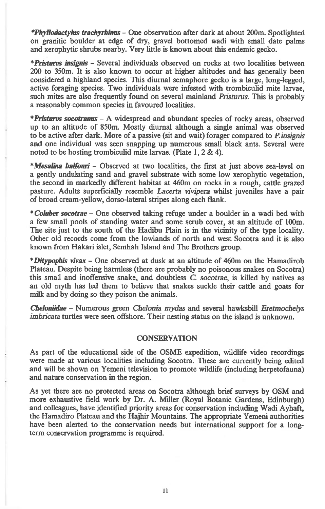*\*Phyliodactylus trachyridnus —* **One observation after dark at about 200m. Spotlighted on granitic boulder at edge of dry, gravel bottomed wadi with small date palms and xerophytic shrubs nearby. Very little is known about this endemic gecko.** 

*\*Pristurus insignis —* **Several individuals observed on rocks at two localities between 200 to 350m. It is also known to occur at higher altitudes and has generally been considered a highland species. This diurnal semaphore gecko is a large, long-legged, active foraging species. Two individuals were infested with trombiculid mite larvae, such mites are also frequently found on several mainland** *Pristurus.* **This is probably a reasonably common species in favoured localities.** 

*\*Pristurus socotranus —* **A widespread and abundant species of rocky areas, observed up to an altitude of 850m. Mostly diurnal although a single animal was observed to be active after dark. More of a passive (sit and wait) forager compared to** *P.insignis*  **and one individual was seen snapping up numerous small black ants. Several were noted to be hosting trombiculid mite larvae. (Plate 1, 2 & 4).** 

\*Mesalina balfouri – Observed at two localities, the first at just above sea-level on **a gently undulating sand and gravel substrate with some low xerophytic vegetation, the second in markedly different habitat at 460m on rocks in a rough, cattle grazed pasture. Adults superficially resemble** *Lacerta vivipera* **whilst juveniles have a pair of broad cream-yellow, dorso-lateral stripes along each flank.** 

*\* Coluber socotrae —* **One observed taking refuge under a boulder in a wadi bed with a few small pools of standing water and some scrub cover, at an altitude of 100m. The site just to the south of the Hadibu Plain is in the vicinity of the type locality. Other old records come from the lowlands of north and west Socotra and it is also known from Hakari islet, Semhah Island and The Brothers group.** 

*\*Ditypophis vivax —* **One observed at dusk at an altitude of 460m on the Hamadiroh Plateau. Despite being harmless (there are probably no poisonous snakes on Socotra) this small and inoffensive snake, and doubtless** *C. socotrae,* **is killed by natives as an old myth has led them to believe that snakes suckle their cattle and goats for milk and by doing so they poison the animals.** 

*Cheloniidae —* **Numerous green** *Chelonia mydas* **and several hawksbill** *Eretmochelys imbricata* **turtles were seen offshore. Their nesting status on the island is unknown.** 

#### **CONSERVATION**

**As part of the educational side of the OSME expedition, wildlife video recordings were made at various localities including Socotra. These are currently being edited and will be shown on Yemeni television to promote wildlife (including herpetofauna) and nature conservation in the region.** 

**As yet there are no protected areas on Socotra although brief surveys by OSM and more exhaustive field work by Dr. A. Miller (Royal Botanic Gardens, Edinburgh) and colleagues, have identified priority areas for conservation including Wadi Ayhaft, the Hamadiro Plateau and the Hajhir Mountains. The appropriate Yemeni authorities have been alerted to the conservation needs but international support for a longterm conservation programme is required.**